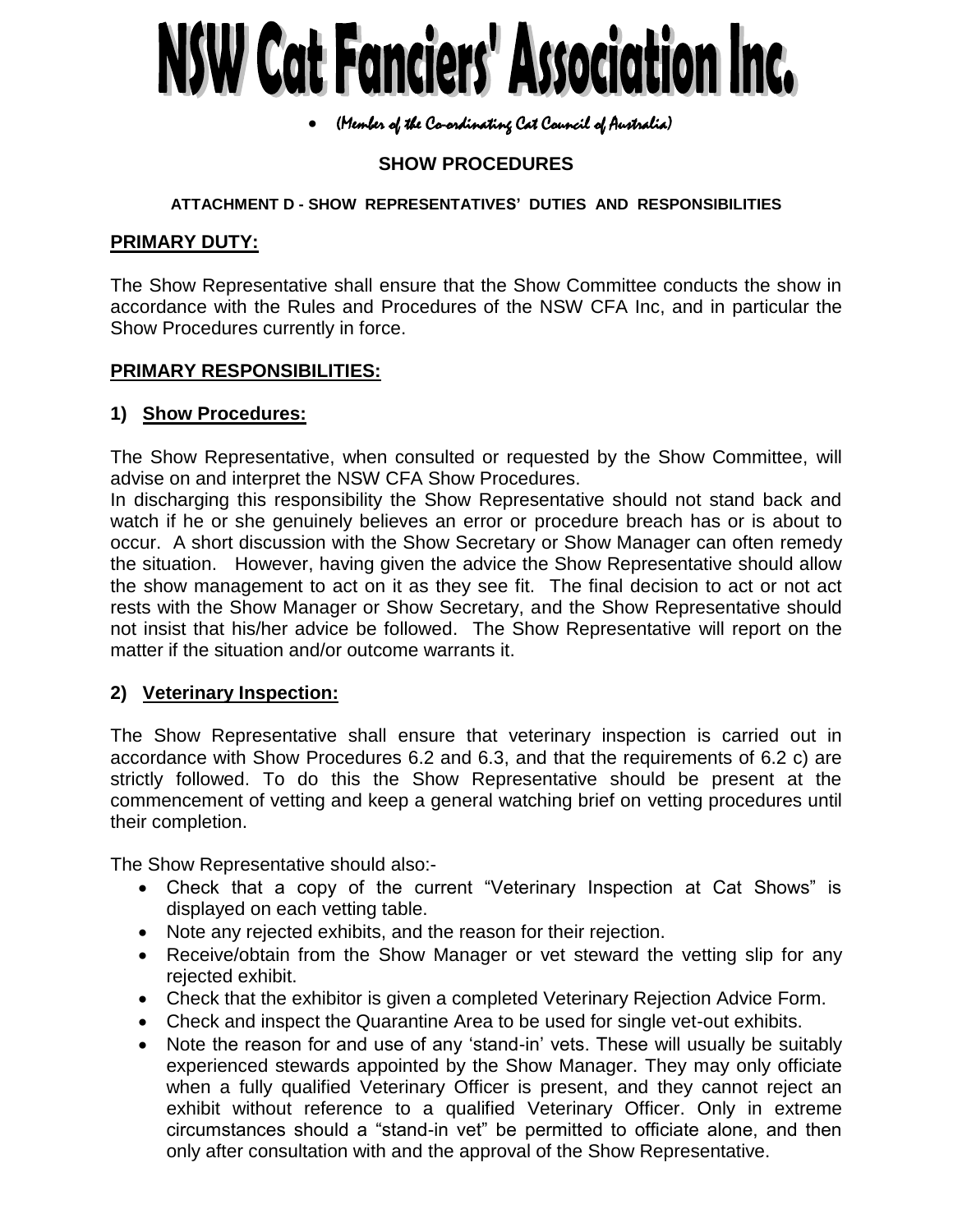# NSW Cat Fanciers' Association Inc.

### (Member of the Co-ordinating Cat Council of Australia)

# **SHOW PROCEDURES**

### **ATTACHMENT D - SHOW REPRESENTATIVES' DUTIES AND RESPONSIBILITIES**

## **PRIMARY DUTY:**

The Show Representative shall ensure that the Show Committee conducts the show in accordance with the Rules and Procedures of the NSW CFA Inc, and in particular the Show Procedures currently in force.

### **PRIMARY RESPONSIBILITIES:**

### **1) Show Procedures:**

The Show Representative, when consulted or requested by the Show Committee, will advise on and interpret the NSW CFA Show Procedures.

In discharging this responsibility the Show Representative should not stand back and watch if he or she genuinely believes an error or procedure breach has or is about to occur. A short discussion with the Show Secretary or Show Manager can often remedy the situation. However, having given the advice the Show Representative should allow the show management to act on it as they see fit. The final decision to act or not act rests with the Show Manager or Show Secretary, and the Show Representative should not insist that his/her advice be followed. The Show Representative will report on the matter if the situation and/or outcome warrants it.

### **2) Veterinary Inspection:**

The Show Representative shall ensure that veterinary inspection is carried out in accordance with Show Procedures 6.2 and 6.3, and that the requirements of 6.2 c) are strictly followed. To do this the Show Representative should be present at the commencement of vetting and keep a general watching brief on vetting procedures until their completion.

The Show Representative should also:-

- Check that a copy of the current "Veterinary Inspection at Cat Shows" is displayed on each vetting table.
- Note any rejected exhibits, and the reason for their rejection.
- Receive/obtain from the Show Manager or vet steward the vetting slip for any rejected exhibit.
- Check that the exhibitor is given a completed Veterinary Rejection Advice Form.
- Check and inspect the Quarantine Area to be used for single vet-out exhibits.
- Note the reason for and use of any 'stand-in' vets. These will usually be suitably experienced stewards appointed by the Show Manager. They may only officiate when a fully qualified Veterinary Officer is present, and they cannot reject an exhibit without reference to a qualified Veterinary Officer. Only in extreme circumstances should a "stand-in vet" be permitted to officiate alone, and then only after consultation with and the approval of the Show Representative.